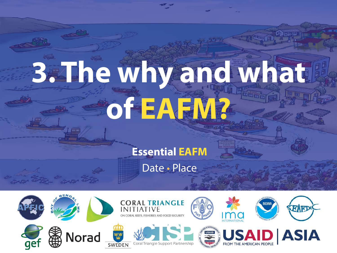# **3. The why and what of EAFM?**

#### **Essential EAFM**

**Fact** 

Date • Place

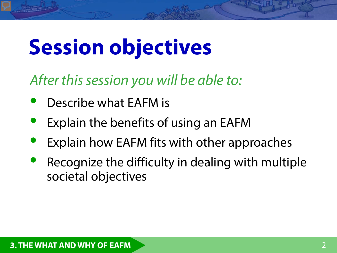## **Session objectives**

*After this session you will be able to:*

- Describe what EAFM is
- Explain the benefits of using an EAFM
- Explain how EAFM fits with other approaches
- Recognize the difficulty in dealing with multiple societal objectives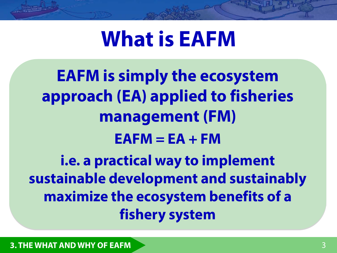## **What is EAFM**

**EAFM is simply the ecosystem approach (EA) applied to fisheries management (FM)**  $EAFM = EA + FM$ **i.e. a practical way to implement sustainable development and sustainably maximize the ecosystem benefits of a fishery system**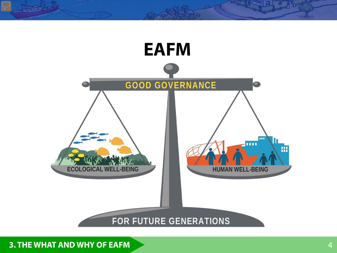

**3. THE WHAT AND WHY OF EAFM**

**County**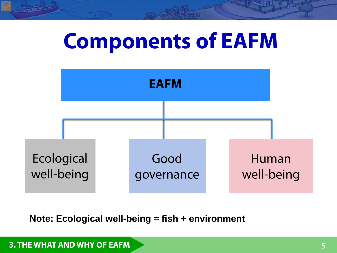## **Components of EAFM**



**Note: Ecological well-being = fish + environment**

#### **3. THE WHAT AND WHY OF EAFM**

**THE REAL PROPERTY**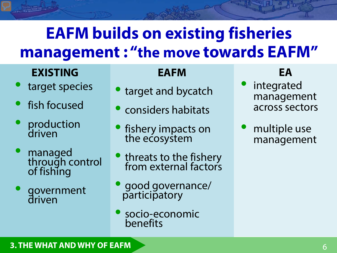## **EAFM builds on existing fisheries management : "the move towards EAFM"**

#### **EXISTING EAFM EAFM EAFM**

- target species
- fish focused
- production driven
- managed through control of fishing
- government driven

#### **EAFM**

- target and bycatch
- considers habitats
- fishery impacts on the ecosystem
- threats to the fishery from external factors
- good governance/ participatory
- socio-economic benefits

- integrated management across sectors
- multiple use management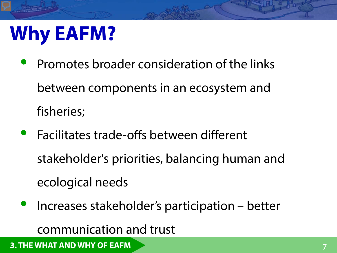## **Why EAFM?**

- Promotes broader consideration of the links between components in an ecosystem and fisheries;
- Facilitates trade-offs between different stakeholder's priorities, balancing human and ecological needs
- Increases stakeholder's participation better communication and trust

**3. THE WHAT AND WHY OF EAFM**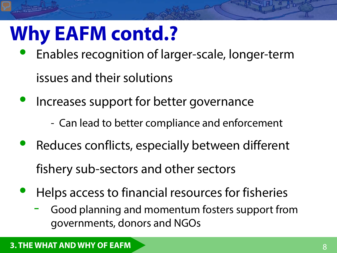## **Why EAFM contd.?**

- Enables recognition of larger-scale, longer-term issues and their solutions
- Increases support for better governance
	- Can lead to better compliance and enforcement
- Reduces conflicts, especially between different fishery sub-sectors and other sectors
- Helps access to financial resources for fisheries
	- Good planning and momentum fosters support from governments, donors and NGOs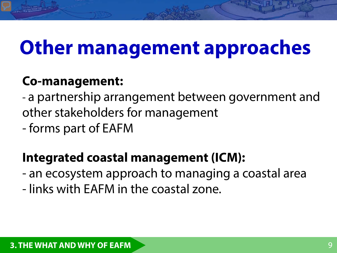## **Other management approaches**

### **Co-management:**

- a partnership arrangement between government and other stakeholders for management

- forms part of EAFM

#### **Integrated coastal management (ICM):**

- an ecosystem approach to managing a coastal area
- links with EAFM in the coastal zone.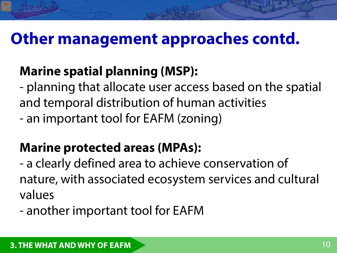## **Other management approaches contd.**

## **Marine spatial planning (MSP):**

- planning that allocate user access based on the spatial and temporal distribution of human activities

- an important tool for EAFM (zoning)

## **Marine protected areas (MPAs):**

- a clearly defined area to achieve conservation of nature, with associated ecosystem services and cultural values

- another important tool for EAFM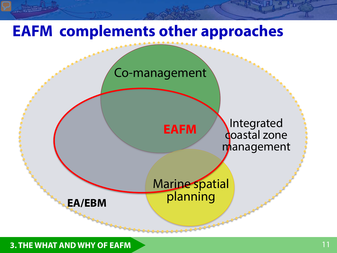## **EAFM complements other approaches**



**3. THE WHAT AND WHY OF EAFM**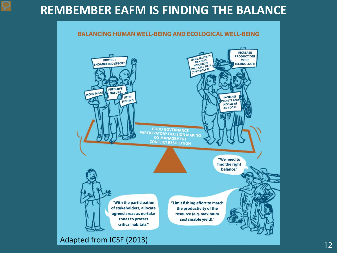#### **REMBEMBER EAFM IS FINDING THE BALANCE**